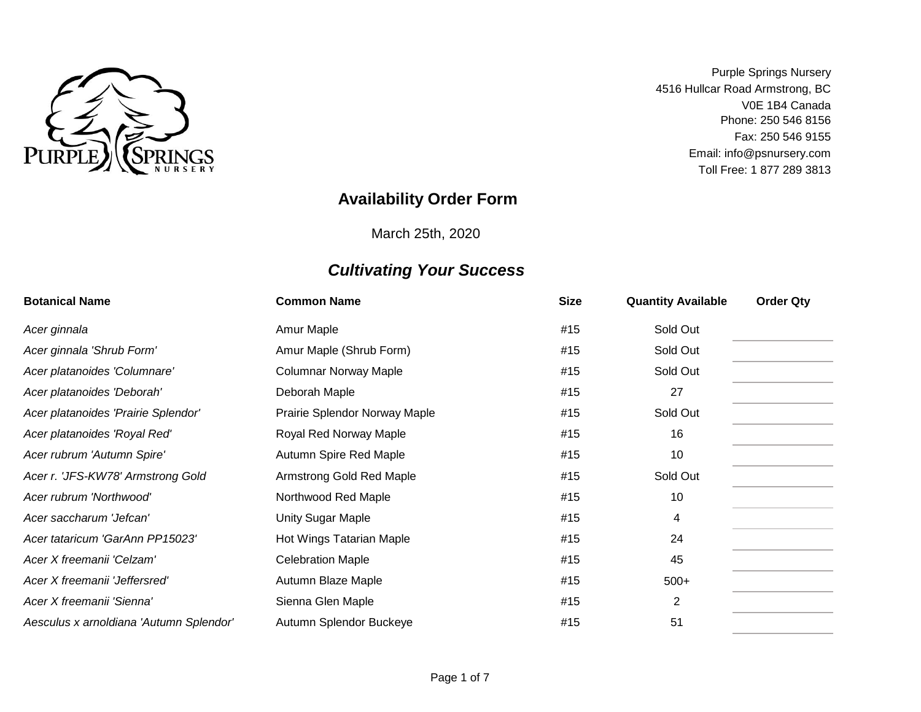

V0E 1B4 Canada Fax: 250 546 9155 Purple Springs Nursery 4516 Hullcar Road Armstrong, BC Phone: 250 546 8156 Toll Free: 1 877 289 3813 Email: info@psnursery.com

### **Availability Order Form**

March 25th, 2020

| <b>Botanical Name</b>                   | <b>Common Name</b>            | <b>Size</b> | <b>Quantity Available</b> | <b>Order Qty</b> |
|-----------------------------------------|-------------------------------|-------------|---------------------------|------------------|
| Acer ginnala                            | Amur Maple                    | #15         | Sold Out                  |                  |
| Acer ginnala 'Shrub Form'               | Amur Maple (Shrub Form)       | #15         | Sold Out                  |                  |
| Acer platanoides 'Columnare'            | <b>Columnar Norway Maple</b>  | #15         | Sold Out                  |                  |
| Acer platanoides 'Deborah'              | Deborah Maple                 | #15         | 27                        |                  |
| Acer platanoides 'Prairie Splendor'     | Prairie Splendor Norway Maple | #15         | Sold Out                  |                  |
| Acer platanoides 'Royal Red'            | Royal Red Norway Maple        | #15         | 16                        |                  |
| Acer rubrum 'Autumn Spire'              | Autumn Spire Red Maple        | #15         | 10                        |                  |
| Acer r. 'JFS-KW78' Armstrong Gold       | Armstrong Gold Red Maple      | #15         | Sold Out                  |                  |
| Acer rubrum 'Northwood'                 | Northwood Red Maple           | #15         | 10                        |                  |
| Acer saccharum 'Jefcan'                 | Unity Sugar Maple             | #15         | 4                         |                  |
| Acer tataricum 'GarAnn PP15023'         | Hot Wings Tatarian Maple      | #15         | 24                        |                  |
| Acer X freemanii 'Celzam'               | <b>Celebration Maple</b>      | #15         | 45                        |                  |
| Acer X freemanii 'Jeffersred'           | Autumn Blaze Maple            | #15         | $500+$                    |                  |
| Acer X freemanii 'Sienna'               | Sienna Glen Maple             | #15         | $\overline{2}$            |                  |
| Aesculus x arnoldiana 'Autumn Splendor' | Autumn Splendor Buckeye       | #15         | 51                        |                  |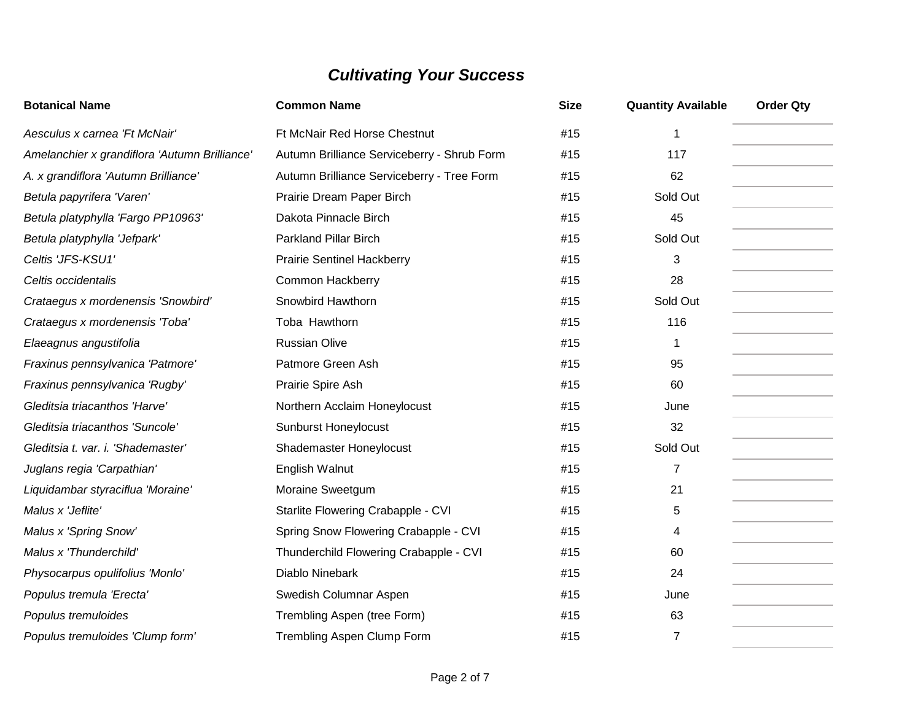| <b>Botanical Name</b>                         | <b>Common Name</b>                          | <b>Size</b> | <b>Quantity Available</b> | <b>Order Qty</b> |
|-----------------------------------------------|---------------------------------------------|-------------|---------------------------|------------------|
| Aesculus x carnea 'Ft McNair'                 | Ft McNair Red Horse Chestnut                | #15         | 1                         |                  |
| Amelanchier x grandiflora 'Autumn Brilliance' | Autumn Brilliance Serviceberry - Shrub Form | #15         | 117                       |                  |
| A. x grandiflora 'Autumn Brilliance'          | Autumn Brilliance Serviceberry - Tree Form  | #15         | 62                        |                  |
| Betula papyrifera 'Varen'                     | Prairie Dream Paper Birch                   | #15         | Sold Out                  |                  |
| Betula platyphylla 'Fargo PP10963'            | Dakota Pinnacle Birch                       | #15         | 45                        |                  |
| Betula platyphylla 'Jefpark'                  | <b>Parkland Pillar Birch</b>                | #15         | Sold Out                  |                  |
| Celtis 'JFS-KSU1'                             | <b>Prairie Sentinel Hackberry</b>           | #15         | 3                         |                  |
| Celtis occidentalis                           | <b>Common Hackberry</b>                     | #15         | 28                        |                  |
| Crataegus x mordenensis 'Snowbird'            | Snowbird Hawthorn                           | #15         | Sold Out                  |                  |
| Crataegus x mordenensis 'Toba'                | Toba Hawthorn                               | #15         | 116                       |                  |
| Elaeagnus angustifolia                        | <b>Russian Olive</b>                        | #15         | 1                         |                  |
| Fraxinus pennsylvanica 'Patmore'              | Patmore Green Ash                           | #15         | 95                        |                  |
| Fraxinus pennsylvanica 'Rugby'                | Prairie Spire Ash                           | #15         | 60                        |                  |
| Gleditsia triacanthos 'Harve'                 | Northern Acclaim Honeylocust                | #15         | June                      |                  |
| Gleditsia triacanthos 'Suncole'               | <b>Sunburst Honeylocust</b>                 | #15         | 32                        |                  |
| Gleditsia t. var. i. 'Shademaster'            | Shademaster Honeylocust                     | #15         | Sold Out                  |                  |
| Juglans regia 'Carpathian'                    | English Walnut                              | #15         | $\overline{7}$            |                  |
| Liquidambar styraciflua 'Moraine'             | Moraine Sweetgum                            | #15         | 21                        |                  |
| Malus x 'Jeflite'                             | Starlite Flowering Crabapple - CVI          | #15         | 5                         |                  |
| Malus x 'Spring Snow'                         | Spring Snow Flowering Crabapple - CVI       | #15         | 4                         |                  |
| Malus x 'Thunderchild'                        | Thunderchild Flowering Crabapple - CVI      | #15         | 60                        |                  |
| Physocarpus opulifolius 'Monlo'               | Diablo Ninebark                             | #15         | 24                        |                  |
| Populus tremula 'Erecta'                      | Swedish Columnar Aspen                      | #15         | June                      |                  |
| Populus tremuloides                           | Trembling Aspen (tree Form)                 | #15         | 63                        |                  |
| Populus tremuloides 'Clump form'              | Trembling Aspen Clump Form                  | #15         | $\overline{7}$            |                  |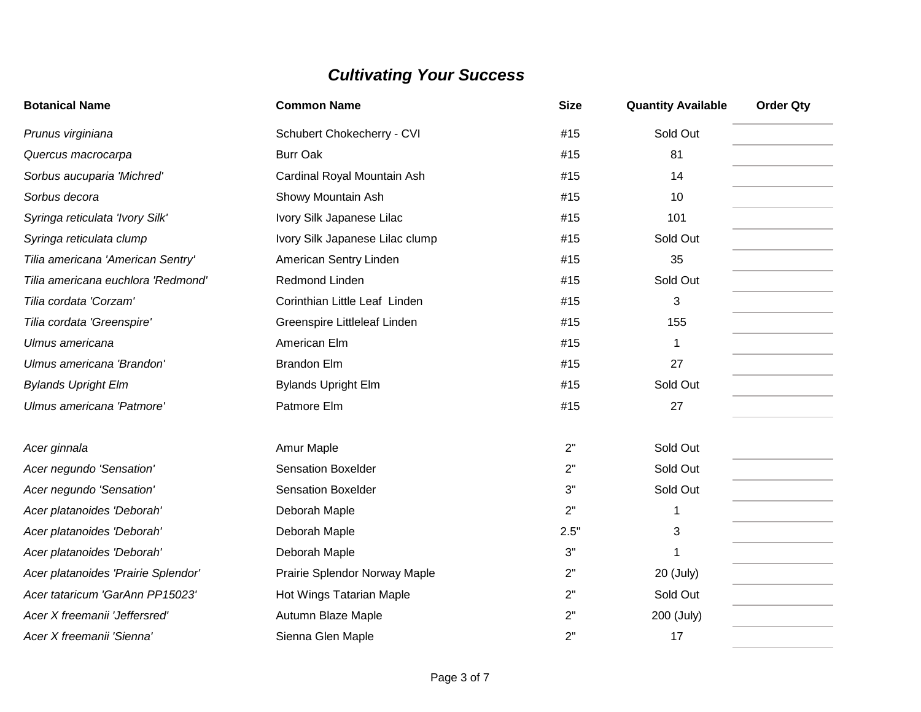| <b>Botanical Name</b>               | <b>Common Name</b>              | <b>Size</b> | <b>Quantity Available</b> | <b>Order Qty</b> |
|-------------------------------------|---------------------------------|-------------|---------------------------|------------------|
| Prunus virginiana                   | Schubert Chokecherry - CVI      | #15         | Sold Out                  |                  |
| Quercus macrocarpa                  | <b>Burr Oak</b>                 | #15         | 81                        |                  |
| Sorbus aucuparia 'Michred'          | Cardinal Royal Mountain Ash     | #15         | 14                        |                  |
| Sorbus decora                       | Showy Mountain Ash              | #15         | 10                        |                  |
| Syringa reticulata 'Ivory Silk'     | Ivory Silk Japanese Lilac       | #15         | 101                       |                  |
| Syringa reticulata clump            | Ivory Silk Japanese Lilac clump | #15         | Sold Out                  |                  |
| Tilia americana 'American Sentry'   | American Sentry Linden          | #15         | 35                        |                  |
| Tilia americana euchlora 'Redmond'  | Redmond Linden                  | #15         | Sold Out                  |                  |
| Tilia cordata 'Corzam'              | Corinthian Little Leaf Linden   | #15         | 3                         |                  |
| Tilia cordata 'Greenspire'          | Greenspire Littleleaf Linden    | #15         | 155                       |                  |
| Ulmus americana                     | American Elm                    | #15         | 1                         |                  |
| Ulmus americana 'Brandon'           | <b>Brandon Elm</b>              | #15         | 27                        |                  |
| <b>Bylands Upright Elm</b>          | <b>Bylands Upright Elm</b>      | #15         | Sold Out                  |                  |
| Ulmus americana 'Patmore'           | Patmore Elm                     | #15         | 27                        |                  |
| Acer ginnala                        | Amur Maple                      | 2"          | Sold Out                  |                  |
| Acer negundo 'Sensation'            | <b>Sensation Boxelder</b>       | 2"          | Sold Out                  |                  |
| Acer negundo 'Sensation'            | <b>Sensation Boxelder</b>       | 3"          | Sold Out                  |                  |
| Acer platanoides 'Deborah'          | Deborah Maple                   | 2"          |                           |                  |
| Acer platanoides 'Deborah'          | Deborah Maple                   | 2.5"        | 3                         |                  |
| Acer platanoides 'Deborah'          | Deborah Maple                   | 3"          | 1                         |                  |
| Acer platanoides 'Prairie Splendor' | Prairie Splendor Norway Maple   | 2"          | 20 (July)                 |                  |
| Acer tataricum 'GarAnn PP15023'     | Hot Wings Tatarian Maple        | 2"          | Sold Out                  |                  |
| Acer X freemanii 'Jeffersred'       | Autumn Blaze Maple              | 2"          | 200 (July)                |                  |
| Acer X freemanii 'Sienna'           | Sienna Glen Maple               | 2"          | 17                        |                  |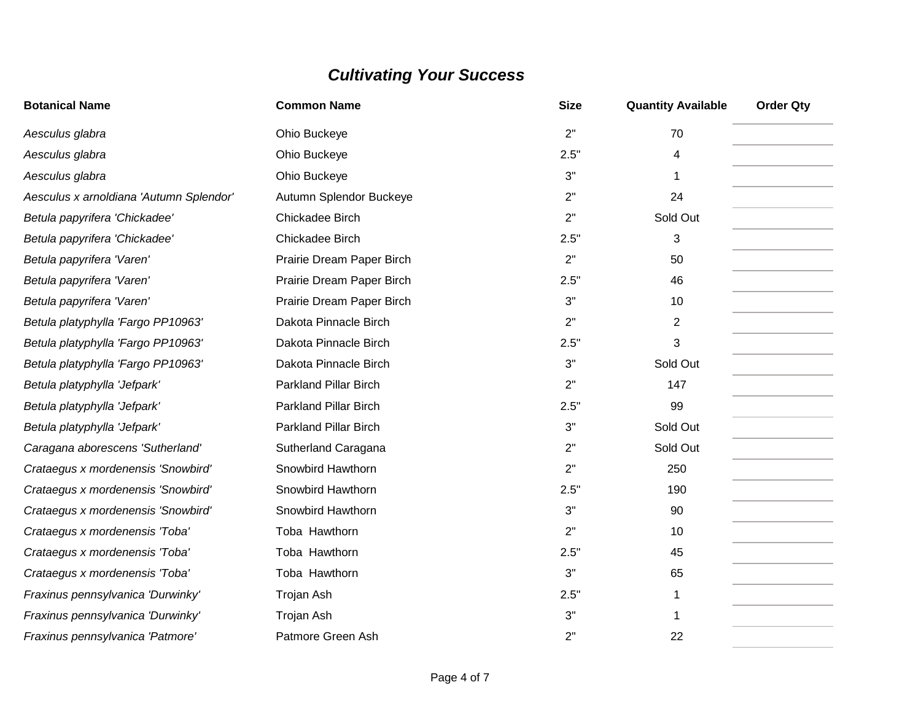| <b>Botanical Name</b>                   | <b>Common Name</b>           | <b>Size</b> | <b>Quantity Available</b> | <b>Order Qty</b> |
|-----------------------------------------|------------------------------|-------------|---------------------------|------------------|
| Aesculus glabra                         | Ohio Buckeye                 | 2"          | 70                        |                  |
| Aesculus glabra                         | Ohio Buckeye                 | 2.5"        | 4                         |                  |
| Aesculus glabra                         | Ohio Buckeye                 | 3"          | 1                         |                  |
| Aesculus x arnoldiana 'Autumn Splendor' | Autumn Splendor Buckeye      | 2"          | 24                        |                  |
| Betula papyrifera 'Chickadee'           | Chickadee Birch              | 2"          | Sold Out                  |                  |
| Betula papyrifera 'Chickadee'           | Chickadee Birch              | 2.5"        | 3                         |                  |
| Betula papyrifera 'Varen'               | Prairie Dream Paper Birch    | 2"          | 50                        |                  |
| Betula papyrifera 'Varen'               | Prairie Dream Paper Birch    | 2.5"        | 46                        |                  |
| Betula papyrifera 'Varen'               | Prairie Dream Paper Birch    | 3"          | 10                        |                  |
| Betula platyphylla 'Fargo PP10963'      | Dakota Pinnacle Birch        | 2"          | $\overline{2}$            |                  |
| Betula platyphylla 'Fargo PP10963'      | Dakota Pinnacle Birch        | 2.5"        | 3                         |                  |
| Betula platyphylla 'Fargo PP10963'      | Dakota Pinnacle Birch        | 3"          | Sold Out                  |                  |
| Betula platyphylla 'Jefpark'            | <b>Parkland Pillar Birch</b> | 2"          | 147                       |                  |
| Betula platyphylla 'Jefpark'            | <b>Parkland Pillar Birch</b> | 2.5"        | 99                        |                  |
| Betula platyphylla 'Jefpark'            | <b>Parkland Pillar Birch</b> | 3"          | Sold Out                  |                  |
| Caragana aborescens 'Sutherland'        | Sutherland Caragana          | 2"          | Sold Out                  |                  |
| Crataegus x mordenensis 'Snowbird'      | Snowbird Hawthorn            | 2"          | 250                       |                  |
| Crataegus x mordenensis 'Snowbird'      | Snowbird Hawthorn            | 2.5"        | 190                       |                  |
| Crataegus x mordenensis 'Snowbird'      | Snowbird Hawthorn            | 3"          | 90                        |                  |
| Crataegus x mordenensis 'Toba'          | Toba Hawthorn                | 2"          | 10                        |                  |
| Crataegus x mordenensis 'Toba'          | Toba Hawthorn                | 2.5"        | 45                        |                  |
| Crataegus x mordenensis 'Toba'          | Toba Hawthorn                | 3"          | 65                        |                  |
| Fraxinus pennsylvanica 'Durwinky'       | Trojan Ash                   | 2.5"        | 1                         |                  |
| Fraxinus pennsylvanica 'Durwinky'       | Trojan Ash                   | 3"          | 1                         |                  |
| Fraxinus pennsylvanica 'Patmore'        | Patmore Green Ash            | 2"          | 22                        |                  |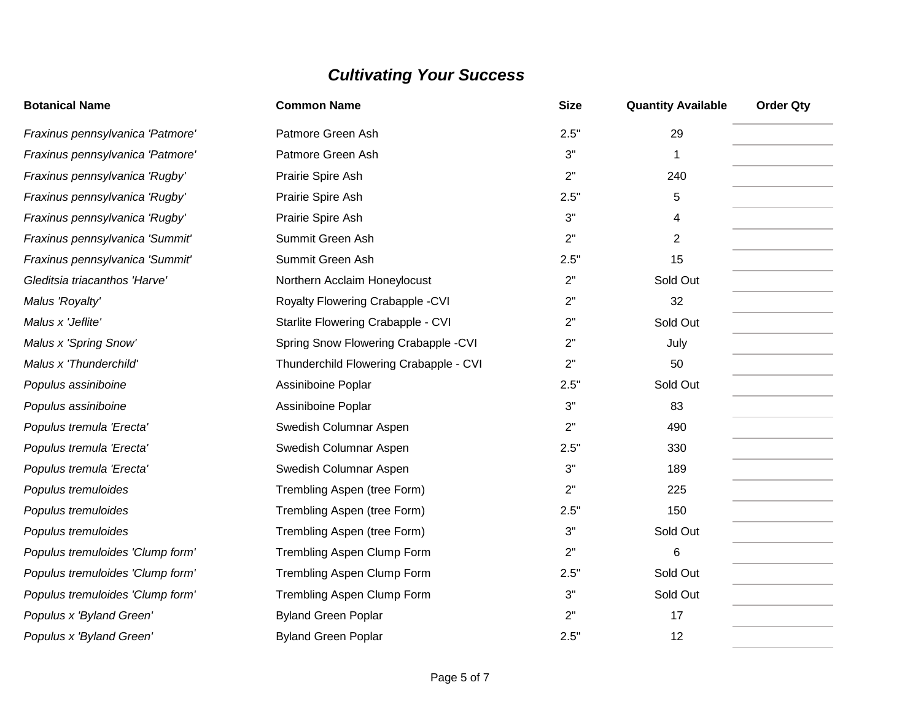| <b>Botanical Name</b>            | <b>Common Name</b>                     | <b>Size</b> | <b>Quantity Available</b> | <b>Order Qty</b> |
|----------------------------------|----------------------------------------|-------------|---------------------------|------------------|
| Fraxinus pennsylvanica 'Patmore' | Patmore Green Ash                      | 2.5"        | 29                        |                  |
| Fraxinus pennsylvanica 'Patmore' | Patmore Green Ash                      | 3"          | $\mathbf 1$               |                  |
| Fraxinus pennsylvanica 'Rugby'   | Prairie Spire Ash                      | 2"          | 240                       |                  |
| Fraxinus pennsylvanica 'Rugby'   | Prairie Spire Ash                      | 2.5"        | 5                         |                  |
| Fraxinus pennsylvanica 'Rugby'   | Prairie Spire Ash                      | 3"          | 4                         |                  |
| Fraxinus pennsylvanica 'Summit'  | Summit Green Ash                       | 2"          | $\overline{2}$            |                  |
| Fraxinus pennsylvanica 'Summit'  | Summit Green Ash                       | 2.5"        | 15                        |                  |
| Gleditsia triacanthos 'Harve'    | Northern Acclaim Honeylocust           | 2"          | Sold Out                  |                  |
| Malus 'Royalty'                  | Royalty Flowering Crabapple - CVI      | 2"          | 32                        |                  |
| Malus x 'Jeflite'                | Starlite Flowering Crabapple - CVI     | 2"          | Sold Out                  |                  |
| Malus x 'Spring Snow'            | Spring Snow Flowering Crabapple -CVI   | 2"          | July                      |                  |
| Malus x 'Thunderchild'           | Thunderchild Flowering Crabapple - CVI | 2"          | 50                        |                  |
| Populus assiniboine              | Assiniboine Poplar                     | 2.5"        | Sold Out                  |                  |
| Populus assiniboine              | Assiniboine Poplar                     | 3"          | 83                        |                  |
| Populus tremula 'Erecta'         | Swedish Columnar Aspen                 | 2"          | 490                       |                  |
| Populus tremula 'Erecta'         | Swedish Columnar Aspen                 | 2.5"        | 330                       |                  |
| Populus tremula 'Erecta'         | Swedish Columnar Aspen                 | 3"          | 189                       |                  |
| Populus tremuloides              | Trembling Aspen (tree Form)            | 2"          | 225                       |                  |
| Populus tremuloides              | Trembling Aspen (tree Form)            | 2.5"        | 150                       |                  |
| Populus tremuloides              | Trembling Aspen (tree Form)            | 3"          | Sold Out                  |                  |
| Populus tremuloides 'Clump form' | Trembling Aspen Clump Form             | 2"          | 6                         |                  |
| Populus tremuloides 'Clump form' | Trembling Aspen Clump Form             | 2.5"        | Sold Out                  |                  |
| Populus tremuloides 'Clump form' | Trembling Aspen Clump Form             | 3"          | Sold Out                  |                  |
| Populus x 'Byland Green'         | <b>Byland Green Poplar</b>             | 2"          | 17                        |                  |
| Populus x 'Byland Green'         | <b>Byland Green Poplar</b>             | 2.5"        | 12                        |                  |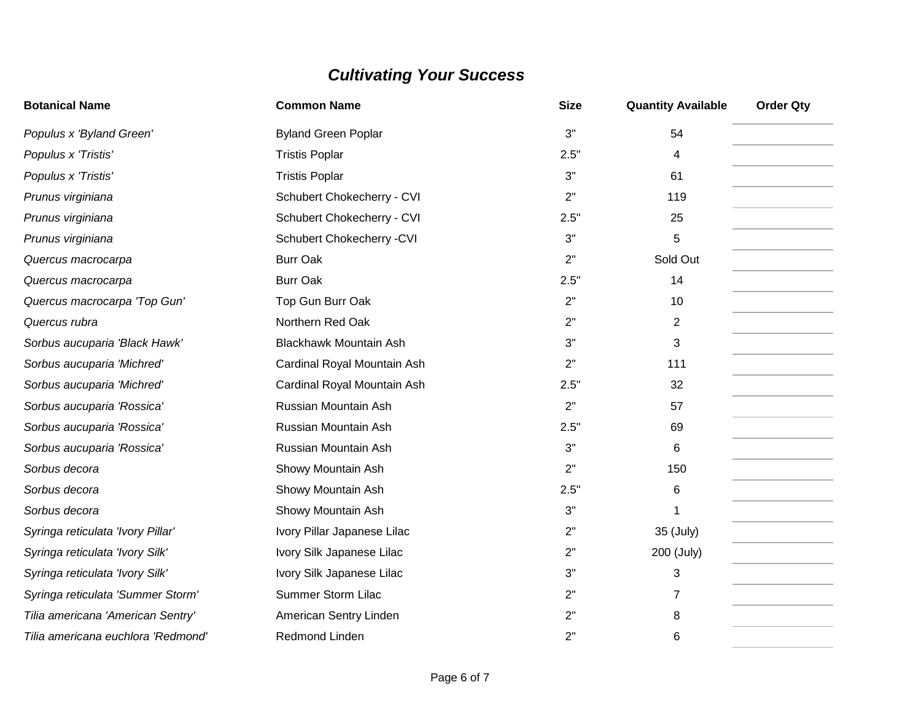| <b>Botanical Name</b>              | <b>Common Name</b>            | <b>Size</b> | <b>Quantity Available</b> | <b>Order Qty</b> |
|------------------------------------|-------------------------------|-------------|---------------------------|------------------|
| Populus x 'Byland Green'           | <b>Byland Green Poplar</b>    | 3"          | 54                        |                  |
| Populus x 'Tristis'                | <b>Tristis Poplar</b>         | 2.5"        | 4                         |                  |
| Populus x 'Tristis'                | <b>Tristis Poplar</b>         | 3"          | 61                        |                  |
| Prunus virginiana                  | Schubert Chokecherry - CVI    | 2"          | 119                       |                  |
| Prunus virginiana                  | Schubert Chokecherry - CVI    | 2.5"        | 25                        |                  |
| Prunus virginiana                  | Schubert Chokecherry - CVI    | 3"          | 5                         |                  |
| Quercus macrocarpa                 | <b>Burr Oak</b>               | 2"          | Sold Out                  |                  |
| Quercus macrocarpa                 | <b>Burr Oak</b>               | 2.5"        | 14                        |                  |
| Quercus macrocarpa 'Top Gun'       | Top Gun Burr Oak              | 2"          | 10                        |                  |
| Quercus rubra                      | Northern Red Oak              | 2"          | $\overline{2}$            |                  |
| Sorbus aucuparia 'Black Hawk'      | <b>Blackhawk Mountain Ash</b> | 3"          | 3                         |                  |
| Sorbus aucuparia 'Michred'         | Cardinal Royal Mountain Ash   | 2"          | 111                       |                  |
| Sorbus aucuparia 'Michred'         | Cardinal Royal Mountain Ash   | 2.5"        | 32                        |                  |
| Sorbus aucuparia 'Rossica'         | Russian Mountain Ash          | 2"          | 57                        |                  |
| Sorbus aucuparia 'Rossica'         | Russian Mountain Ash          | 2.5"        | 69                        |                  |
| Sorbus aucuparia 'Rossica'         | Russian Mountain Ash          | 3"          | 6                         |                  |
| Sorbus decora                      | Showy Mountain Ash            | 2"          | 150                       |                  |
| Sorbus decora                      | Showy Mountain Ash            | 2.5"        | 6                         |                  |
| Sorbus decora                      | Showy Mountain Ash            | 3"          |                           |                  |
| Syringa reticulata 'Ivory Pillar'  | Ivory Pillar Japanese Lilac   | 2"          | 35 (July)                 |                  |
| Syringa reticulata 'Ivory Silk'    | Ivory Silk Japanese Lilac     | 2"          | 200 (July)                |                  |
| Syringa reticulata 'Ivory Silk'    | Ivory Silk Japanese Lilac     | 3"          | 3                         |                  |
| Syringa reticulata 'Summer Storm'  | <b>Summer Storm Lilac</b>     | 2"          | $\overline{7}$            |                  |
| Tilia americana 'American Sentry'  | American Sentry Linden        | 2"          | 8                         |                  |
| Tilia americana euchlora 'Redmond' | Redmond Linden                | 2"          | 6                         |                  |